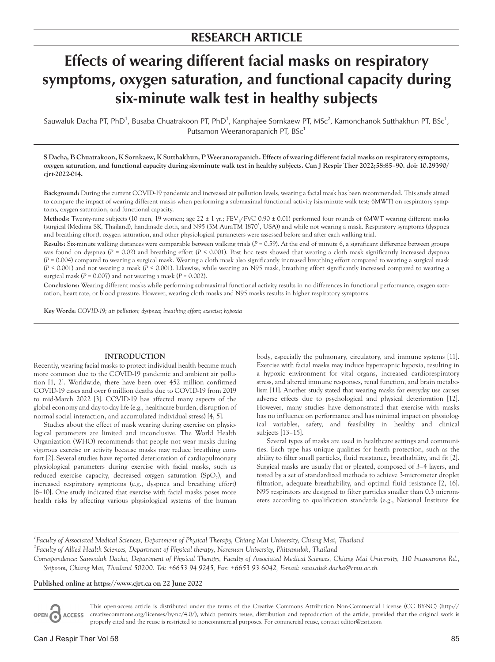# **RESEARCH ARTICLE**

# **Effects of wearing different facial masks on respiratory symptoms, oxygen saturation, and functional capacity during six-minute walk test in healthy subjects**

Sauwaluk Dacha PT, PhD<sup>1</sup>, Busaba Chuatrakoon PT, PhD<sup>1</sup>, Kanphajee Sornkaew PT, MSc<sup>2</sup>, Kamonchanok Sutthakhun PT, BSc<sup>1</sup>, Putsamon Weeranorapanich PT, BSc<sup>1</sup>

**S Dacha, B Chuatrakoon, K Sornkaew, K Sutthakhun, P Weeranorapanich. Effects of wearing different facial masks on respiratory symptoms, oxygen saturation, and functional capacity during six-minute walk test in healthy subjects. Can J Respir Ther 2022;58:85–90. doi: 10.29390/ cjrt-2022-014.**

**Background:** During the current COVID-19 pandemic and increased air pollution levels, wearing a facial mask has been recommended. This study aimed to compare the impact of wearing different masks when performing a submaximal functional activity (six-minute walk test; 6MWT) on respiratory symptoms, oxygen saturation, and functional capacity.

**Methods:** Twenty-nine subjects (10 men, 19 women; age  $22 \pm 1$  yr.; FEV<sub>1</sub>/FVC 0.90  $\pm$  0.01) performed four rounds of 6MWT wearing different masks (surgical (Medima SK, Thailand), handmade cloth, and N95 (3M AuraTM 1870<sup>\*</sup>, USA)) and while not wearing a mask. Respiratory symptoms (dyspnea and breathing effort), oxygen saturation, and other physiological parameters were assessed before and after each walking trial.

**Results:** Six-minute walking distances were comparable between walking trials (*P* = 0.59). At the end of minute 6, a significant difference between groups was found on dyspnea (*P* = 0.02) and breathing effort (*P* < 0.001). Post hoc tests showed that wearing a cloth mask significantly increased dyspnea  $(P = 0.004)$  compared to wearing a surgical mask. Wearing a cloth mask also significantly increased breathing effort compared to wearing a surgical mask (*P* < 0.001) and not wearing a mask (*P* < 0.001). Likewise, while wearing an N95 mask, breathing effort significantly increased compared to wearing a surgical mask (*P* = 0.007) and not wearing a mask (*P* = 0.002).

**Conclusions:** Wearing different masks while performing submaximal functional activity results in no differences in functional performance, oxygen saturation, heart rate, or blood pressure. However, wearing cloth masks and N95 masks results in higher respiratory symptoms.

**Key Words:** *COVID-19; air pollution; dyspnea; breathing effort; exercise; hypoxia*

#### **INTRODUCTION**

Recently, wearing facial masks to protect individual health became much more common due to the COVID-19 pandemic and ambient air pollution [1, 2]. Worldwide, there have been over 452 million confirmed COVID-19 cases and over 6 million deaths due to COVID-19 from 2019 to mid-March 2022 [3]. COVID-19 has affected many aspects of the global economy and day-to-day life (e.g., healthcare burden, disruption of normal social interaction, and accumulated individual stress) [4, 5].

Studies about the effect of mask wearing during exercise on physiological parameters are limited and inconclusive. The World Health Organization (WHO) recommends that people not wear masks during vigorous exercise or activity because masks may reduce breathing comfort [2]. Several studies have reported deterioration of cardiopulmonary physiological parameters during exercise with facial masks, such as reduced exercise capacity, decreased oxygen saturation  $(SpO<sub>2</sub>)$ , and increased respiratory symptoms (e.g., dyspnea and breathing effort) [6–10]. One study indicated that exercise with facial masks poses more health risks by affecting various physiological systems of the human

body, especially the pulmonary, circulatory, and immune systems [11]. Exercise with facial masks may induce hypercapnic hypoxia, resulting in a hypoxic environment for vital organs, increased cardiorespiratory stress, and altered immune responses, renal function, and brain metabolism [11]. Another study stated that wearing masks for everyday use causes adverse effects due to psychological and physical deterioration [12]. However, many studies have demonstrated that exercise with masks has no influence on performance and has minimal impact on physiological variables, safety, and feasibility in healthy and clinical subjects [13–15].

Several types of masks are used in healthcare settings and communities. Each type has unique qualities for heath protection, such as the ability to filter small particles, fluid resistance, breathability, and fit [2]. Surgical masks are usually flat or pleated, composed of 3–4 layers, and tested by a set of standardized methods to achieve 3-micrometer droplet filtration, adequate breathability, and optimal fluid resistance [2, 16]. N95 respirators are designed to filter particles smaller than 0.3 micrometers according to qualification standards (e.g., National Institute for

*1 Faculty of Associated Medical Sciences, Department of Physical Therapy, Chiang Mai University, Chiang Mai, Thailand*

*2 Faculty of Allied Health Sciences, Department of Physical therapy, Naresuan University, Phitsanulok, Thailand*

*Correspondence: Sauwaluk Dacha, Department of Physical Therapy, Faculty of Associated Medical Sciences, Chiang Mai University, 110 Intawaroros Rd., Sripoom, Chiang Mai, Thailand 50200. Tel: +6653 94 9245, Fax: +6653 93 6042, E-mail: [sauwaluk.dacha@cmu.ac.th](mailto:sauwaluk.dacha@cmu.ac.th)*

#### **Published online at <https://www.cjrt.ca>on 22 June 2022**

This open-access article is distributed under the terms of the Creative Commons Attribution Non-Commercial License (CC BY-NC) ([http://](http://creativecommons.org/licenses/by-nc/4.0/) OPEN CACCESS [creativecommons.org/licenses/by-nc/4.0/\)](http://creativecommons.org/licenses/by-nc/4.0/), which permits reuse, distribution and reproduction of the article, provided that the original work is properly cited and the reuse is restricted to noncommercial purposes. For commercial reuse, contact [editor@csrt.com](mailto:editor@csrt.com)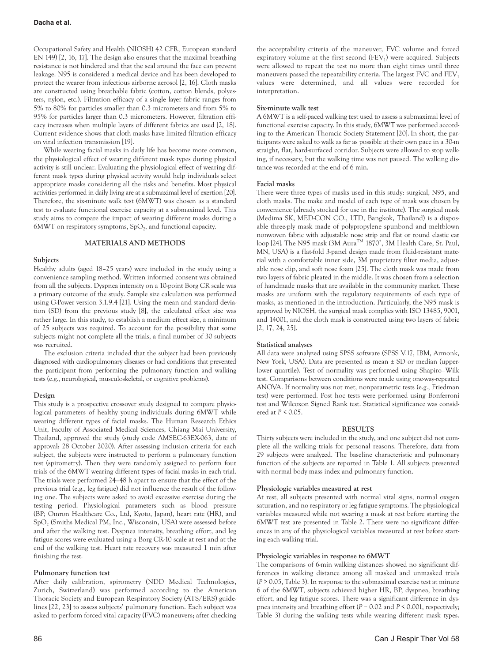Occupational Safety and Health (NIOSH) 42 CFR, European standard EN 149) [2, 16, 17]. The design also ensures that the maximal breathing resistance is not hindered and that the seal around the face can prevent leakage. N95 is considered a medical device and has been developed to protect the wearer from infectious airborne aerosol [2, 16]. Cloth masks are constructed using breathable fabric (cotton, cotton blends, polyesters, nylon, etc.). Filtration efficacy of a single layer fabric ranges from 5% to 80% for particles smaller than 0.3 micrometers and from 5% to 95% for particles larger than 0.3 micrometers. However, filtration efficacy increases when multiple layers of different fabrics are used [2, 18]. Current evidence shows that cloth masks have limited filtration efficacy on viral infection transmission [19].

While wearing facial masks in daily life has become more common, the physiological effect of wearing different mask types during physical activity is still unclear. Evaluating the physiological effect of wearing different mask types during physical activity would help individuals select appropriate masks considering all the risks and benefits. Most physical activities performed in daily living are at a submaximal level of exertion [20]. Therefore, the six-minute walk test (6MWT) was chosen as a standard test to evaluate functional exercise capacity at a submaximal level. This study aims to compare the impact of wearing different masks during a 6MWT on respiratory symptoms,  $SpO<sub>2</sub>$ , and functional capacity.

# **MATERIALS AND METHODS**

**Subjects**

Healthy adults (aged 18–25 years) were included in the study using a convenience sampling method. Written informed consent was obtained from all the subjects. Dyspnea intensity on a 10-point Borg CR scale was a primary outcome of the study. Sample size calculation was performed using G-Power version 3.1.9.4 [21]. Using the mean and standard deviation (SD) from the previous study [8], the calculated effect size was rather large. In this study, to establish a medium effect size, a minimum of 25 subjects was required. To account for the possibility that some subjects might not complete all the trials, a final number of 30 subjects was recruited.

The exclusion criteria included that the subject had been previously diagnosed with cardiopulmonary diseases or had conditions that prevented the participant from performing the pulmonary function and walking tests (e.g., neurological, musculoskeletal, or cognitive problems).

# **Design**

This study is a prospective crossover study designed to compare physiological parameters of healthy young individuals during 6MWT while wearing different types of facial masks. The Human Research Ethics Unit, Faculty of Associated Medical Sciences, Chiang Mai University, Thailand, approved the study (study code AMSEC-63EX-063, date of approval: 28 October 2020). After assessing inclusion criteria for each subject, the subjects were instructed to perform a pulmonary function test (spirometry). Then they were randomly assigned to perform four trials of the 6MWT wearing different types of facial masks in each trial. The trials were performed 24–48 h apart to ensure that the effect of the previous trial (e.g., leg fatigue) did not influence the result of the following one. The subjects were asked to avoid excessive exercise during the testing period. Physiological parameters such as blood pressure (BP; Omron Healthcare Co., Ltd, Kyoto, Japan), heart rate (HR), and SpO<sub>2</sub> (Smiths Medical PM, Inc., Wisconsin, USA) were assessed before and after the walking test. Dyspnea intensity, breathing effort, and leg fatigue scores were evaluated using a Borg CR-10 scale at rest and at the end of the walking test. Heart rate recovery was measured 1 min after finishing the test.

# **Pulmonary function test**

After daily calibration, spirometry (NDD Medical Technologies, Zurich, Switzerland) was performed according to the American Thoracic Society and European Respiratory Society (ATS/ERS) guidelines [22, 23] to assess subjects' pulmonary function. Each subject was asked to perform forced vital capacity (FVC) maneuvers; after checking

the acceptability criteria of the maneuver, FVC volume and forced expiratory volume at the first second  $(FEV_1)$  were acquired. Subjects were allowed to repeat the test no more than eight times until three maneuvers passed the repeatability criteria. The largest FVC and  $FEV<sub>1</sub>$ values were determined, and all values were recorded for interpretation.

# **Six-minute walk test**

A 6MWT is a self-paced walking test used to assess a submaximal level of functional exercise capacity. In this study, 6MWT was performed according to the American Thoracic Society Statement [20]. In short, the participants were asked to walk as far as possible at their own pace in a 30-m straight, flat, hard-surfaced corridor. Subjects were allowed to stop walking, if necessary, but the walking time was not paused. The walking distance was recorded at the end of 6 min.

# **Facial masks**

There were three types of masks used in this study: surgical, N95, and cloth masks. The make and model of each type of mask was chosen by convenience (already stocked for use in the institute). The surgical mask (Medima SK, MED-CON CO., LTD, Bangkok, Thailand) is a disposable three-ply mask made of polypropylene spunbond and meltblown nonwoven fabric with adjustable nose strip and flat or round elastic ear loop [24]. The N95 mask (3M Aura™ 1870<sup>+</sup>, 3M Health Care, St. Paul, MN, USA) is a flat-fold 3-panel design made from fluid-resistant material with a comfortable inner side, 3M proprietary filter media, adjustable nose clip, and soft nose foam [25]. The cloth mask was made from two layers of fabric pleated in the middle. It was chosen from a selection of handmade masks that are available in the community market. These masks are uniform with the regulatory requirements of each type of masks, as mentioned in the introduction. Particularly, the N95 mask is approved by NIOSH, the surgical mask complies with ISO 13485, 9001, and 14001, and the cloth mask is constructed using two layers of fabric [2, 17, 24, 25].

# **Statistical analyses**

All data were analyzed using SPSS software (SPSS V.17, IBM, Armonk, New York, USA). Data are presented as mean ± SD or median (upperlower quartile). Test of normality was performed using Shapiro–Wilk test. Comparisons between conditions were made using one-way-repeated ANOVA. If normality was not met, nonparametric tests (e.g., Friedman test) were performed. Post hoc tests were performed using Bonferroni test and Wilcoxon Signed Rank test. Statistical significance was considered at *P* < 0.05.

# **RESULTS**

Thirty subjects were included in the study, and one subject did not complete all the walking trials for personal reasons. Therefore, data from 29 subjects were analyzed. The baseline characteristic and pulmonary function of the subjects are reported in Table 1. All subjects presented with normal body mass index and pulmonary function.

# **Physiologic variables measured at rest**

At rest, all subjects presented with normal vital signs, normal oxygen saturation, and no respiratory or leg fatigue symptoms. The physiological variables measured while not wearing a mask at rest before starting the 6MWT test are presented in Table 2. There were no significant differences in any of the physiological variables measured at rest before starting each walking trial.

# **Physiologic variables in response to 6MWT**

The comparisons of 6-min walking distances showed no significant differences in walking distance among all masked and unmasked trials (*P* > 0.05, Table 3). In response to the submaximal exercise test at minute 6 of the 6MWT, subjects achieved higher HR, BP, dyspnea, breathing effort, and leg fatigue scores. There was a significant difference in dyspnea intensity and breathing effort (*P* = 0.02 and *P* < 0.001, respectively; Table 3) during the walking tests while wearing different mask types.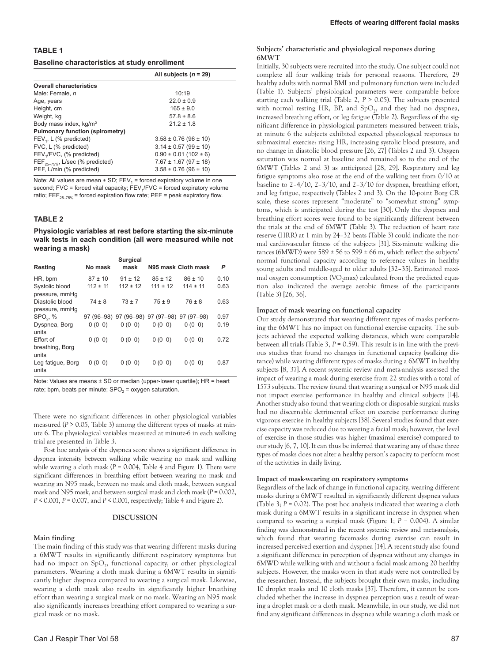# **TABLE 1**

# **Baseline characteristics at study enrollment**

|                                        | All subjects $(n = 29)$       |
|----------------------------------------|-------------------------------|
| <b>Overall characteristics</b>         |                               |
| Male: Female, n                        | 10:19                         |
| Age, years                             | $22.0 \pm 0.9$                |
| Height, cm                             | $165 \pm 9.0$                 |
| Weight, kg                             | $57.8 \pm 8.6$                |
| Body mass index, kg/m <sup>2</sup>     | $212 + 18$                    |
| <b>Pulmonary function (spirometry)</b> |                               |
| $FEV1$ , L (% predicted)               | $3.58 \pm 0.76$ (96 $\pm$ 10) |
| FVC, L (% predicted)                   | $3.14 \pm 0.57 (99 \pm 10)$   |
| FEV <sub>1</sub> /FVC, (% predicted)   | $0.90 \pm 0.01$ (102 ± 6)     |
| $FEF_{25-75\%}$ , L/sec (% predicted)  | $7.67 \pm 1.67$ (97 $\pm$ 18) |
| PEF, L/min (% predicted)               | $3.58 \pm 0.76$ (96 $\pm$ 10) |

Note: All values are mean  $\pm$  SD; FEV<sub>1</sub> = forced expiratory volume in one second; FVC = forced vital capacity;  $FEV<sub>1</sub>/FVC$  = forced expiratory volume ratio;  $FEF_{25-75\%}$  = forced expiration flow rate; PEF = peak expiratory flow.

#### **TABLE 2**

**Physiologic variables at rest before starting the six-minute walk tests in each condition (all were measured while not wearing a mask)**

| Resting              | No mask     | <b>Surgical</b><br>mask |                                             | N95 mask Cloth mask | P    |
|----------------------|-------------|-------------------------|---------------------------------------------|---------------------|------|
|                      |             |                         |                                             |                     |      |
| HR, bpm              | $87 \pm 10$ | $91 + 12$               | $85 + 12$                                   | $86 \pm 10$         | 0.10 |
| Systolic blood       | $112 + 11$  | $112 + 12$              | $111 + 12$                                  | $114 \pm 11$        | 0.63 |
| pressure, mmHq       |             |                         |                                             |                     |      |
| Diastolic blood      | $74 \pm 8$  | $73 + 7$                | $75 + 9$                                    | $76 + 8$            | 0.63 |
| pressure, mmHq       |             |                         |                                             |                     |      |
| SPO <sub>2</sub> , % |             |                         | 97 (96-98) 97 (96-98) 97 (97-98) 97 (97-98) |                     | 0.97 |
| Dyspnea, Borg        | $0(0-0)$    | $0(0-0)$                | $0(0-0)$                                    | $0(0-0)$            | 0.19 |
| units                |             |                         |                                             |                     |      |
| Effort of            | $0(0-0)$    | $0(0-0)$                | $0(0-0)$                                    | $0(0-0)$            | 0.72 |
| breathing, Borg      |             |                         |                                             |                     |      |
| units                |             |                         |                                             |                     |      |
| Leg fatigue, Borg    | $0(0-0)$    | $0(0-0)$                | $0(0-0)$                                    | $0(0-0)$            | 0.87 |
| units                |             |                         |                                             |                     |      |

Note: Values are means ± SD or median (upper-lower quartile); HR = heart rate; bpm, beats per minute;  $SPO<sub>2</sub> = oxygen saturation$ .

There were no significant differences in other physiological variables measured (*P* > 0.05, Table 3) among the different types of masks at minute 6. The physiological variables measured at minute-6 in each walking trial are presented in Table 3.

Post hoc analysis of the dyspnea score shows a significant difference in dyspnea intensity between walking while wearing no mask and walking while wearing a cloth mask ( $P = 0.004$ , Table 4 and Figure 1). There were significant differences in breathing effort between wearing no mask and wearing an N95 mask, between no mask and cloth mask, between surgical mask and N95 mask, and between surgical mask and cloth mask (*P* = 0.002, *P* < 0.001, *P* = 0.007, and *P* < 0.001, respectively; Table 4 and Figure 2).

#### **DISCUSSION**

#### **Main finding**

The main finding of this study was that wearing different masks during a 6MWT results in significantly different respiratory symptoms but had no impact on  $SpO<sub>2</sub>$ , functional capacity, or other physiological parameters. Wearing a cloth mask during a 6MWT results in significantly higher dyspnea compared to wearing a surgical mask. Likewise, wearing a cloth mask also results in significantly higher breathing effort than wearing a surgical mask or no mask. Wearing an N95 mask also significantly increases breathing effort compared to wearing a surgical mask or no mask.

# **Subjects' characteristic and physiological responses during 6MWT**

Initially, 30 subjects were recruited into the study. One subject could not complete all four walking trials for personal reasons. Therefore, 29 healthy adults with normal BMI and pulmonary function were included (Table 1). Subjects' physiological parameters were comparable before starting each walking trial (Table 2, *P* > 0.05). The subjects presented with normal resting HR, BP, and  $SpO<sub>2</sub>$ , and they had no dyspnea, increased breathing effort, or leg fatigue (Table 2). Regardless of the significant difference in physiological parameters measured between trials, at minute 6 the subjects exhibited expected physiological responses to submaximal exercise: rising HR, increasing systolic blood pressure, and no change in diastolic blood pressure [26, 27] (Tables 2 and 3). Oxygen saturation was normal at baseline and remained so to the end of the 6MWT (Tables 2 and 3) as anticipated [28, 29]. Respiratory and leg fatigue symptoms also rose at the end of the walking test from 0/10 at baseline to 2–4/10, 2–3/10, and 2–3/10 for dyspnea, breathing effort, and leg fatigue, respectively (Tables 2 and 3). On the 10-point Borg CR scale, these scores represent "moderate" to "somewhat strong" symptoms, which is anticipated during the test [30]. Only the dyspnea and breathing effort scores were found to be significantly different between the trials at the end of 6MWT (Table 3). The reduction of heart rate reserve (HRR) at 1 min by 24–32 beats (Table 3) could indicate the normal cardiovascular fitness of the subjects [31]. Six-minute walking distances (6MWD) were 589  $\pm$  56 to 599  $\pm$  66 m, which reflect the subjects' normal functional capacity according to reference values in healthy young adults and middle-aged to older adults [32–35]. Estimated maximal oxygen consumption ( $VO<sub>2</sub>$ max) calculated from the predicted equation also indicated the average aerobic fitness of the participants (Table 3) [26, 36].

#### **Impact of mask wearing on functional capacity**

Our study demonstrated that wearing different types of masks performing the 6MWT has no impact on functional exercise capacity. The subjects achieved the expected walking distances, which were comparable between all trials (Table 3, *P* = 0.59). This result is in line with the previous studies that found no changes in functional capacity (walking distance) while wearing different types of masks during a 6MWT in healthy subjects [8, 37]. A recent systemic review and meta-analysis assessed the impact of wearing a mask during exercise from 22 studies with a total of 1573 subjects. The review found that wearing a surgical or N95 mask did not impact exercise performance in healthy and clinical subjects [14]. Another study also found that wearing cloth or disposable surgical masks had no discernable detrimental effect on exercise performance during vigorous exercise in healthy subjects [38]. Several studies found that exercise capacity was reduced due to wearing a facial mask; however, the level of exercise in those studies was higher (maximal exercise) compared to our study [6, 7, 10].It can thus be inferred that wearing any of these three types of masks does not alter a healthy person's capacity to perform most of the activities in daily living.

#### **Impact of mask-wearing on respiratory symptoms**

Regardless of the lack of change in functional capacity, wearing different masks during a 6MWT resulted in significantly different dyspnea values (Table 3; *P* = 0.02). The post hoc analysis indicated that wearing a cloth mask during a 6MWT results in a significant increase in dyspnea when compared to wearing a surgical mask (Figure 1; *P* = 0.004). A similar finding was demonstrated in the recent systemic review and meta-analysis, which found that wearing facemasks during exercise can result in increased perceived exertion and dyspnea [14].A recent study also found a significant difference in perception of dyspnea without any changes in 6MWD while walking with and without a facial mask among 20 healthy subjects. However, the masks worn in that study were not controlled by the researcher. Instead, the subjects brought their own masks, including 10 droplet masks and 10 cloth masks [37]. Therefore, it cannot be concluded whether the increase in dyspnea perception was a result of wearing a droplet mask or a cloth mask. Meanwhile, in our study, we did not find any significant differences in dyspnea while wearing a cloth mask or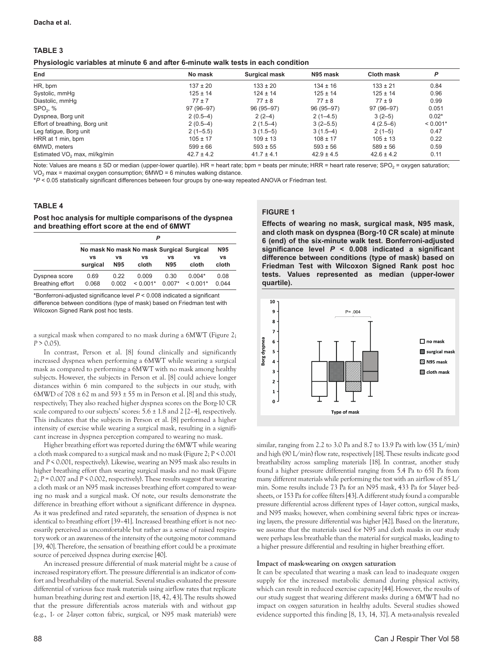# **TABLE 3**

| End                                      | No mask        | <b>Surgical mask</b> | N95 mask       | <b>Cloth mask</b> | P          |
|------------------------------------------|----------------|----------------------|----------------|-------------------|------------|
| HR, bpm                                  | $137 \pm 20$   | $133 \pm 20$         | $134 \pm 16$   | $133 \pm 21$      | 0.84       |
| Systolic, mmHg                           | $125 \pm 14$   | $124 \pm 14$         | $125 \pm 14$   | $125 \pm 14$      | 0.96       |
| Diastolic, mmHq                          | $77 + 7$       | $77 \pm 8$           | $77 \pm 8$     | $77 \pm 9$        | 0.99       |
| SPO <sub>2</sub> , %                     | 97 (96-97)     | 96 (95-97)           | 96 (95-97)     | 97 (96-97)        | 0.051      |
| Dyspnea, Borg unit                       | $2(0.5-4)$     | $2(2-4)$             | $2(1-4.5)$     | $3(2-5)$          | $0.02*$    |
| Effort of breathing, Borg unit           | $2(0.5-4)$     | $2(1.5-4)$           | $3(2-5.5)$     | $4(2.5-6)$        | $< 0.001*$ |
| Leg fatigue, Borg unit                   | $2(1-5.5)$     | $3(1.5-5)$           | $3(1.5-4)$     | $2(1-5)$          | 0.47       |
| HRR at 1 min, bpm                        | $105 \pm 17$   | $109 \pm 13$         | $108 \pm 17$   | $105 \pm 13$      | 0.22       |
| 6MWD, meters                             | $599 \pm 66$   | $593 \pm 55$         | $593 \pm 56$   | $589 \pm 56$      | 0.59       |
| Estimated VO <sub>2</sub> max, ml/kg/min | $42.7 \pm 4.2$ | $41.7 \pm 4.1$       | $42.9 \pm 4.5$ | $42.6 \pm 4.2$    | 0.11       |

Note: Values are means  $\pm$  SD or median (upper-lower quartile). HR = heart rate; bpm = beats per minute; HRR = heart rate reserve; SPO<sub>2</sub> = oxygen saturation;  $VO<sub>2</sub>$  max = maximal oxygen consumption;  $6MWD = 6$  minutes walking distance.

\**P* < 0.05 statistically significant differences between four groups by one-way repeated ANOVA or Friedman test.

# **TABLE 4**

#### **Post hoc analysis for multiple comparisons of the dyspnea and breathing effort score at the end of 6MWT**

|                  | P                                         |            |            |            |            |       |
|------------------|-------------------------------------------|------------|------------|------------|------------|-------|
|                  | No mask No mask No mask Surgical Surgical |            |            |            |            | N95   |
|                  | VS                                        | ٧S         | vs         | VS         | VS         | VS    |
|                  | surgical                                  | <b>N95</b> | cloth      | <b>N95</b> | cloth      | cloth |
| Dyspnea score    | 0.69                                      | 0.22       | 0.009      | 0.30       | $0.004*$   | 0.08  |
| Breathing effort | 0.068                                     | 0.002      | $< 0.001*$ | $0.007*$   | $< 0.001*$ | 0.044 |

\*Bonferroni-adjusted significance level *P* < 0.008 indicated a significant difference between conditions (type of mask) based on Friedman test with Wilcoxon Signed Rank post hoc tests.

a surgical mask when compared to no mask during a 6MWT (Figure 2;  $P > 0.05$ ).

In contrast, Person et al. [8] found clinically and significantly increased dyspnea when performing a 6MWT while wearing a surgical mask as compared to performing a 6MWT with no mask among healthy subjects. However, the subjects in Person et al. [8] could achieve longer distances within 6 min compared to the subjects in our study, with 6MWD of  $708 \pm 62$  m and  $593 \pm 55$  m in Person et al. [8] and this study, respectively; They also reached higher dyspnea scores on the Borg-10 CR scale compared to our subjects' scores: 5.6 ± 1.8 and 2 [2–4], respectively. This indicates that the subjects in Person et al. [8] performed a higher intensity of exercise while wearing a surgical mask, resulting in a significant increase in dyspnea perception compared to wearing no mask.

Higher breathing effort was reported during the 6MWT while wearing a cloth mask compared to a surgical mask and no mask (Figure 2; P < 0.001 and *P* < 0.001, respectively). Likewise, wearing an N95 mask also results in higher breathing effort than wearing surgical masks and no mask (Figure 2; *P* = 0.007 and *P* < 0.002, respectively). These results suggest that wearing a cloth mask or an N95 mask increases breathing effort compared to wearing no mask and a surgical mask. Of note, our results demonstrate the difference in breathing effort without a significant difference in dyspnea. As it was predefined and rated separately, the sensation of dyspnea is not identical to breathing effort [39–41]. Increased breathing effort is not necessarily perceived as uncomfortable but rather as a sense of raised respiratory work or an awareness of the intensity of the outgoing motor command [39, 40].Therefore, the sensation of breathing effort could be a proximate source of perceived dyspnea during exercise [40].

An increased pressure differential of mask material might be a cause of increased respiratory effort. The pressure differential is an indicator of comfort and breathability of the material. Several studies evaluated the pressure differential of various face mask materials using airflow rates that replicate human breathing during rest and exertion [18, 42, 43].The results showed that the pressure differentials across materials with and without gap (e.g., 1- or 2-layer cotton fabric, surgical, or N95 mask materials) were

# **FIGURE 1**

**Effects of wearing no mask, surgical mask, N95 mask, and cloth mask on dyspnea (Borg-10 CR scale) at minute 6 (end) of the six-minute walk test. Bonferroni-adjusted significance level** *P* **< 0.008 indicated a significant difference between conditions (type of mask) based on Friedman Test with Wilcoxon Signed Rank post hoc tests. Values represented as median (upper-lower quartile).**



similar, ranging from 2.2 to 3.0 Pa and 8.7 to 13.9 Pa with low (35 L/min) and high (90 L/min) flow rate, respectively [18].These results indicate good breathability across sampling materials [18]. In contrast, another study found a higher pressure differential ranging from 5.4 Pa to 651 Pa from many different materials while performing the test with an airflow of 85 L/ min. Some results include 73 Pa for an N95 mask, 433 Pa for 5-layer bedsheets, or 153 Pa for coffee filters [43].A different study found a comparable pressure differential across different types of 1-layer cotton, surgical masks, and N95 masks; however, when combining several fabric types or increasing layers, the pressure differential was higher [42]. Based on the literature, we assume that the materials used for N95 and cloth masks in our study were perhaps less breathable than the material for surgical masks, leading to a higher pressure differential and resulting in higher breathing effort.

# **Impact of mask-wearing on oxygen saturation**

It can be speculated that wearing a mask can lead to inadequate oxygen supply for the increased metabolic demand during physical activity, which can result in reduced exercise capacity [44]. However, the results of our study suggest that wearing different masks during a 6MWT had no impact on oxygen saturation in healthy adults. Several studies showed evidence supported this finding [8, 13, 14, 37]. A meta-analysis revealed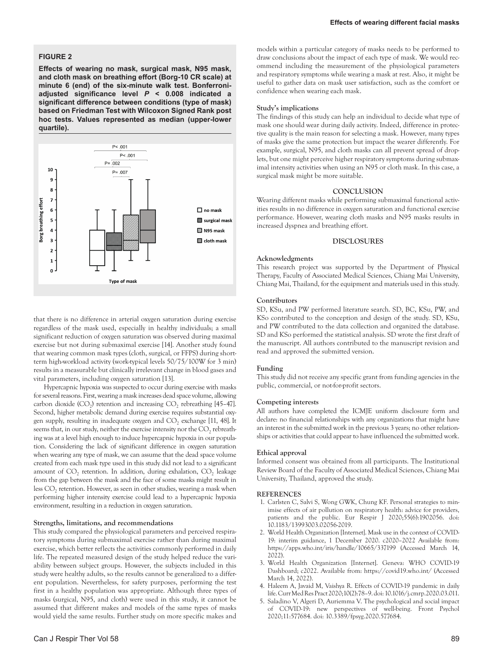# **FIGURE 2**

**Effects of wearing no mask, surgical mask, N95 mask, and cloth mask on breathing effort (Borg-10 CR scale) at minute 6 (end) of the six-minute walk test. Bonferroniadjusted significance level** *P* **< 0.008 indicated a significant difference between conditions (type of mask) based on Friedman Test with Wilcoxon Signed Rank post hoc tests. Values represented as median (upper-lower quartile).**



that there is no difference in arterial oxygen saturation during exercise regardless of the mask used, especially in healthy individuals; a small significant reduction of oxygen saturation was observed during maximal exercise but not during submaximal exercise [14]. Another study found that wearing common mask types (cloth, surgical, or FFPS) during shortterm high-workload activity (work-typical levels 50/75/100W for 3 min) results in a measurable but clinically irrelevant change in blood gases and vital parameters, including oxygen saturation [13].

Hypercapnic hypoxia was suspected to occur during exercise with masks for several reasons. First, wearing a mask increases dead space volume, allowing carbon dioxide  $(CO<sub>2</sub>)$  retention and increasing  $CO<sub>2</sub>$  rebreathing [45–47]. Second, higher metabolic demand during exercise requires substantial oxygen supply, resulting in inadequate oxygen and  $CO<sub>2</sub>$  exchange [11, 48]. It seems that, in our study, neither the exercise intensity nor the  $CO<sub>2</sub>$  rebreathing was at a level high enough to induce hypercapnic hypoxia in our population. Considering the lack of significant difference in oxygen saturation when wearing any type of mask, we can assume that the dead space volume created from each mask type used in this study did not lead to a significant amount of  $CO<sub>2</sub>$  retention. In addition, during exhalation,  $CO<sub>2</sub>$  leakage from the gap between the mask and the face of some masks might result in less CO<sub>2</sub> retention. However, as seen in other studies, wearing a mask when performing higher intensity exercise could lead to a hypercapnic hypoxia environment, resulting in a reduction in oxygen saturation.

# **Strengths, limitations, and recommendations**

This study compared the physiological parameters and perceived respiratory symptoms during submaximal exercise rather than during maximal exercise, which better reflects the activities commonly performed in daily life. The repeated measured design of the study helped reduce the variability between subject groups. However, the subjects included in this study were healthy adults, so the results cannot be generalized to a different population. Nevertheless, for safety purposes, performing the test first in a healthy population was appropriate. Although three types of masks (surgical, N95, and cloth) were used in this study, it cannot be assumed that different makes and models of the same types of masks would yield the same results. Further study on more specific makes and

models within a particular category of masks needs to be performed to draw conclusions about the impact of each type of mask. We would recommend including the measurement of the physiological parameters and respiratory symptoms while wearing a mask at rest. Also, it might be useful to gather data on mask user satisfaction, such as the comfort or confidence when wearing each mask.

#### **Study's implications**

The findings of this study can help an individual to decide what type of mask one should wear during daily activity. Indeed, difference in protective quality is the main reason for selecting a mask. However, many types of masks give the same protection but impact the wearer differently. For example, surgical, N95, and cloth masks can all prevent spread of droplets, but one might perceive higher respiratory symptoms during submaximal intensity activities when using an N95 or cloth mask. In this case, a surgical mask might be more suitable.

# **CONCLUSION**

Wearing different masks while performing submaximal functional activities results in no difference in oxygen saturation and functional exercise performance. However, wearing cloth masks and N95 masks results in increased dyspnea and breathing effort.

#### **DISCLOSURES**

#### **Acknowledgments**

This research project was supported by the Department of Physical Therapy, Faculty of Associated Medical Sciences, Chiang Mai University, Chiang Mai, Thailand, for the equipment and materials used in this study.

#### **Contributors**

SD, KSu, and PW performed literature search. SD, BC, KSu, PW, and KSo contributed to the conception and design of the study. SD, KSu, and PW contributed to the data collection and organized the database. SD and KSo performed the statistical analysis. SD wrote the first draft of the manuscript. All authors contributed to the manuscript revision and read and approved the submitted version.

#### **Funding**

This study did not receive any specific grant from funding agencies in the public, commercial, or not-for-profit sectors.

#### **Competing interests**

All authors have completed the ICMJE uniform disclosure form and declare: no financial relationships with any organizations that might have an interest in the submitted work in the previous 3 years; no other relationships or activities that could appear to have influenced the submitted work.

# **Ethical approval**

Informed consent was obtained from all participants. The Institutional Review Board of the Faculty of Associated Medical Sciences, Chiang Mai University, Thailand, approved the study.

#### **REFERENCES**

- 1. Carlsten C, Salvi S, Wong GWK, Chung KF. Personal strategies to minimise effects of air pollution on respiratory health: advice for providers, patients and the public. Eur Respir J 2020;55(6):1902056. doi: 10.1183/13993003.02056-2019.
- 2. World Health Organization [Internet]. Mask use in the context of COVID-19: interim guidance, 1 December 2020. c2020–2022 Available from: <https://apps.who.int/iris/handle/10665/337199>(Accessed March 14, 2022).
- 3. World Health Organization [Internet]. Geneva: WHO COVID-19 Dashboard; c2022. Available from: <https://covid19.who.int/> (Accessed March 14, 2022).
- 4. Haleem A, Javaid M, Vaishya R. Effects of COVID-19 pandemic in daily life. Curr Med Res Pract 2020;10(2):78–9. doi: 10.1016/j.cmrp.2020.03.011.
- 5. Saladino V, Algeri D, Auriemma V. The psychological and social impact of COVID-19: new perspectives of well-being. Front Psychol 2020;11:577684. doi: 10.3389/fpsyg.2020.577684.